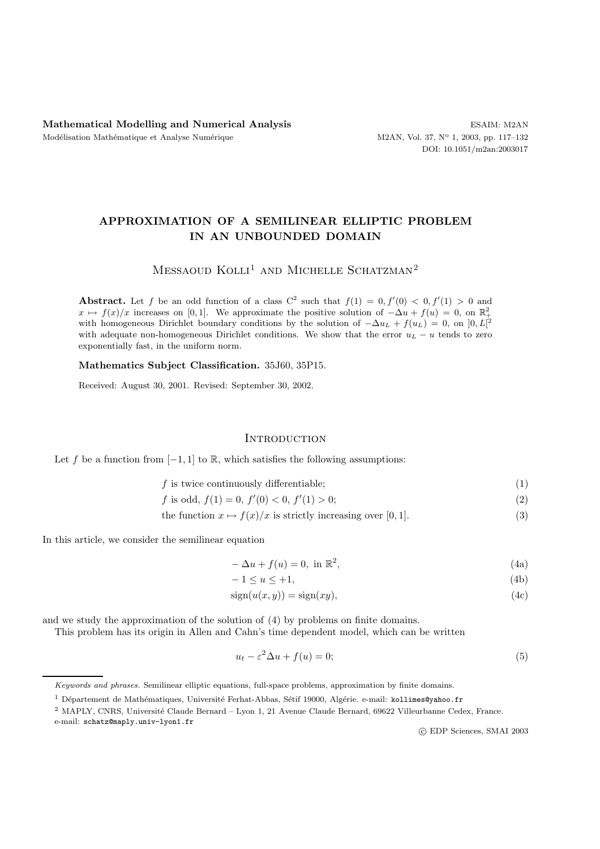# **APPROXIMATION OF A SEMILINEAR ELLIPTIC PROBLEM IN AN UNBOUNDED DOMAIN**

# $MESSAOUD KOLL<sup>1</sup> AND MICHELLE SCHATZMAN<sup>2</sup>$

**Abstract.** Let f be an odd function of a class  $C^2$  such that  $f(1) = 0, f'(0) < 0, f'(1) > 0$  and  $x \mapsto f(x)/x$  increases on [0,1]. We approximate the positive solution of  $-\Delta u + f(u) = 0$ , on  $\mathbb{R}^2_+$ with homogeneous Dirichlet boundary conditions by the solution of  $-\Delta u_L + f(u_L) = 0$ , on  $]0, L[^2$ with adequate non-homogeneous Dirichlet conditions. We show that the error *u<sup>L</sup>* − *u* tends to zero exponentially fast, in the uniform norm.

**Mathematics Subject Classification.** 35J60, 35P15.

Received: August 30, 2001. Revised: September 30, 2002.

## **INTRODUCTION**

Let f be a function from  $[-1, 1]$  to R, which satisfies the following assumptions:

 $f$  is twice continuously differentiable; (1)

$$
f \text{ is odd, } f(1) = 0, f'(0) < 0, f'(1) > 0; \tag{2}
$$

the function  $x \mapsto f(x)/x$  is strictly increasing over [0, 1]. (3)

In this article, we consider the semilinear equation

$$
-\Delta u + f(u) = 0, \text{ in } \mathbb{R}^2,
$$
\n(4a)

$$
-1 \le u \le +1,\tag{4b}
$$

$$
sign(u(x, y)) = sign(xy),
$$
\n(4c)

and we study the approximation of the solution of (4) by problems on finite domains.

This problem has its origin in Allen and Cahn's time dependent model, which can be written

$$
u_t - \varepsilon^2 \Delta u + f(u) = 0;\t\t(5)
$$

e-mail: schatz@maply.univ-lyon1.fr

c EDP Sciences, SMAI 2003

Keywords and phrases. Semilinear elliptic equations, full-space problems, approximation by finite domains.

 $1$  Département de Mathématiques, Université Ferhat-Abbas, Sétif 19000, Algérie. e-mail: kollimes@yahoo.fr

<sup>&</sup>lt;sup>2</sup> MAPLY, CNRS, Université Claude Bernard – Lyon 1, 21 Avenue Claude Bernard, 69622 Villeurbanne Cedex, France.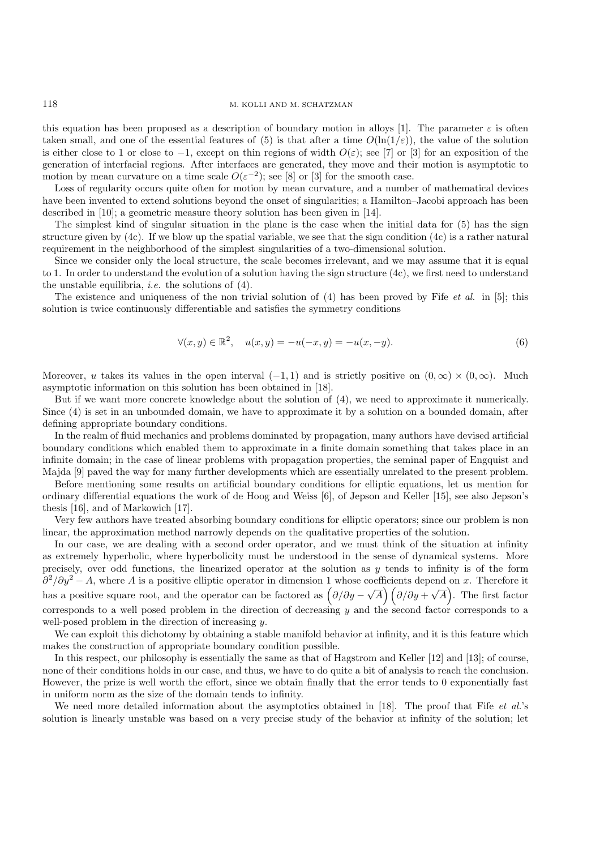### 118 M. KOLLI AND M. SCHATZMAN

this equation has been proposed as a description of boundary motion in alloys [1]. The parameter  $\varepsilon$  is often taken small, and one of the essential features of (5) is that after a time  $O(\ln(1/\varepsilon))$ , the value of the solution is either close to 1 or close to -1, except on thin regions of width  $O(\varepsilon)$ ; see [7] or [3] for an exposition of the generation of interfacial regions. After interfaces are generated, they move and their motion is asymptotic to motion by mean curvature on a time scale  $O(\varepsilon^{-2})$ ; see [8] or [3] for the smooth case.

Loss of regularity occurs quite often for motion by mean curvature, and a number of mathematical devices have been invented to extend solutions beyond the onset of singularities; a Hamilton–Jacobi approach has been described in [10]; a geometric measure theory solution has been given in [14].

The simplest kind of singular situation in the plane is the case when the initial data for (5) has the sign structure given by (4c). If we blow up the spatial variable, we see that the sign condition (4c) is a rather natural requirement in the neighborhood of the simplest singularities of a two-dimensional solution.

Since we consider only the local structure, the scale becomes irrelevant, and we may assume that it is equal to 1. In order to understand the evolution of a solution having the sign structure (4c), we first need to understand the unstable equilibria, *i.e.* the solutions of (4).

The existence and uniqueness of the non trivial solution of (4) has been proved by Fife *et al.* in [5]; this solution is twice continuously differentiable and satisfies the symmetry conditions

$$
\forall (x, y) \in \mathbb{R}^2, \quad u(x, y) = -u(-x, y) = -u(x, -y). \tag{6}
$$

Moreover, u takes its values in the open interval  $(-1,1)$  and is strictly positive on  $(0,\infty) \times (0,\infty)$ . Much asymptotic information on this solution has been obtained in [18].

But if we want more concrete knowledge about the solution of (4), we need to approximate it numerically. Since (4) is set in an unbounded domain, we have to approximate it by a solution on a bounded domain, after defining appropriate boundary conditions.

In the realm of fluid mechanics and problems dominated by propagation, many authors have devised artificial boundary conditions which enabled them to approximate in a finite domain something that takes place in an infinite domain; in the case of linear problems with propagation properties, the seminal paper of Engquist and Majda [9] paved the way for many further developments which are essentially unrelated to the present problem.

Before mentioning some results on artificial boundary conditions for elliptic equations, let us mention for ordinary differential equations the work of de Hoog and Weiss [6], of Jepson and Keller [15], see also Jepson's thesis [16], and of Markowich [17].

Very few authors have treated absorbing boundary conditions for elliptic operators; since our problem is non linear, the approximation method narrowly depends on the qualitative properties of the solution.

In our case, we are dealing with a second order operator, and we must think of the situation at infinity as extremely hyperbolic, where hyperbolicity must be understood in the sense of dynamical systems. More precisely, over odd functions, the linearized operator at the solution as  $y$  tends to infinity is of the form  $\frac{\partial^2}{\partial y^2} - A$ , where A is a positive elliptic operator in dimension 1 whose coefficients depend on x. Therefore it has a positive square root, and the operator can be factored as  $\left(\partial/\partial y - \sqrt{A}\right)$  $\int \left(\frac{\partial}{\partial y} + \sqrt{A}\right)$ - . The first factor corresponds to a well posed problem in the direction of decreasing y and the second factor corresponds to a well-posed problem in the direction of increasing y.

We can exploit this dichotomy by obtaining a stable manifold behavior at infinity, and it is this feature which makes the construction of appropriate boundary condition possible.

In this respect, our philosophy is essentially the same as that of Hagstrom and Keller [12] and [13]; of course, none of their conditions holds in our case, and thus, we have to do quite a bit of analysis to reach the conclusion. However, the prize is well worth the effort, since we obtain finally that the error tends to 0 exponentially fast in uniform norm as the size of the domain tends to infinity.

We need more detailed information about the asymptotics obtained in [18]. The proof that Fife *et al.*'s solution is linearly unstable was based on a very precise study of the behavior at infinity of the solution; let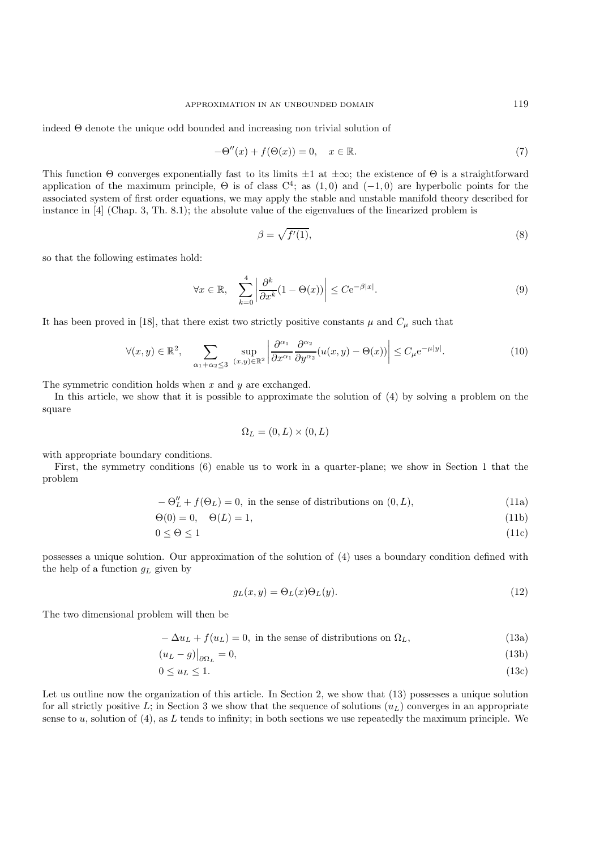indeed Θ denote the unique odd bounded and increasing non trivial solution of

$$
-\Theta''(x) + f(\Theta(x)) = 0, \quad x \in \mathbb{R}.\tag{7}
$$

This function Θ converges exponentially fast to its limits  $\pm 1$  at  $\pm \infty$ ; the existence of Θ is a straightforward application of the maximum principle,  $\Theta$  is of class  $C^4$ ; as  $(1,0)$  and  $(-1,0)$  are hyperbolic points for the associated system of first order equations, we may apply the stable and unstable manifold theory described for instance in [4] (Chap. 3, Th. 8.1); the absolute value of the eigenvalues of the linearized problem is

$$
\beta = \sqrt{f'(1)},\tag{8}
$$

so that the following estimates hold:

$$
\forall x \in \mathbb{R}, \quad \sum_{k=0}^{4} \left| \frac{\partial^k}{\partial x^k} (1 - \Theta(x)) \right| \le C e^{-\beta |x|}.
$$
 (9)

It has been proved in [18], that there exist two strictly positive constants  $\mu$  and  $C_{\mu}$  such that

$$
\forall (x, y) \in \mathbb{R}^2, \quad \sum_{\alpha_1 + \alpha_2 \le 3} \sup_{(x, y) \in \mathbb{R}^2} \left| \frac{\partial^{\alpha_1}}{\partial x^{\alpha_1}} \frac{\partial^{\alpha_2}}{\partial y^{\alpha_2}} (u(x, y) - \Theta(x)) \right| \le C_{\mu} e^{-\mu|y|}.
$$
 (10)

The symmetric condition holds when  $x$  and  $y$  are exchanged.

In this article, we show that it is possible to approximate the solution of (4) by solving a problem on the square

$$
\Omega_L=(0,L)\times(0,L)
$$

with appropriate boundary conditions.

First, the symmetry conditions (6) enable us to work in a quarter-plane; we show in Section 1 that the problem

 $-\Theta''_L + f(\Theta_L) = 0$ , in the sense of distributions on  $(0, L)$ , (11a)

$$
\Theta(0) = 0, \quad \Theta(L) = 1,\tag{11b}
$$

$$
0 \le \Theta \le 1\tag{11c}
$$

possesses a unique solution. Our approximation of the solution of (4) uses a boundary condition defined with the help of a function  $g_L$  given by

$$
g_L(x,y) = \Theta_L(x)\Theta_L(y). \tag{12}
$$

The two dimensional problem will then be

$$
-\Delta u_L + f(u_L) = 0, \text{ in the sense of distributions on } \Omega_L,
$$
\n(13a)

$$
(u_L - g)|_{\partial \Omega_L} = 0,\t\t(13b)
$$

$$
0 \le u_L \le 1. \tag{13c}
$$

Let us outline now the organization of this article. In Section 2, we show that (13) possesses a unique solution for all strictly positive L; in Section 3 we show that the sequence of solutions  $(u_L)$  converges in an appropriate sense to u, solution of  $(4)$ , as L tends to infinity; in both sections we use repeatedly the maximum principle. We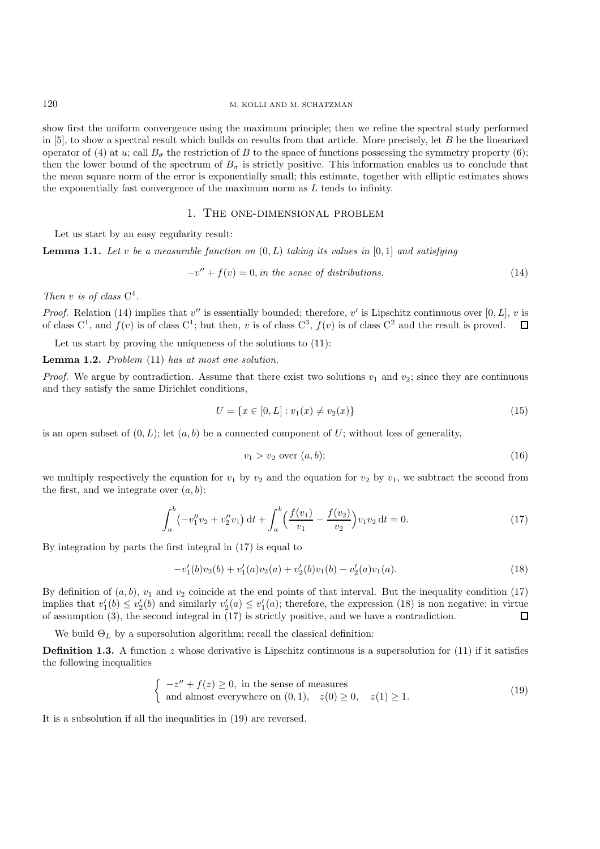show first the uniform convergence using the maximum principle; then we refine the spectral study performed in  $[5]$ , to show a spectral result which builds on results from that article. More precisely, let  $B$  be the linearized operator of (4) at u; call  $B_{\sigma}$  the restriction of B to the space of functions possessing the symmetry property (6); then the lower bound of the spectrum of  $B_{\sigma}$  is strictly positive. This information enables us to conclude that the mean square norm of the error is exponentially small; this estimate, together with elliptic estimates shows the exponentially fast convergence of the maximum norm as  $L$  tends to infinity.

## 1. The one-dimensional problem

Let us start by an easy regularity result:

**Lemma 1.1.** *Let* v *be a measurable function on* (0, L) *taking its values in* [0, 1] *and satisfying*

$$
-v'' + f(v) = 0, in the sense of distributions.
$$
\n
$$
(14)
$$

*Then* <sup>v</sup> *is of class* <sup>C</sup><sup>4</sup>*.*

*Proof.* Relation (14) implies that  $v''$  is essentially bounded; therefore, v' is Lipschitz continuous over [0, L], v is of class  $C^1$ , and  $f(v)$  is of class  $C^1$ ; but then, v is of class  $C^3$ ,  $f(v)$  is of class  $C^2$  and the result is proved.  $\Box$ 

Let us start by proving the uniqueness of the solutions to  $(11)$ :

**Lemma 1.2.** *Problem* (11) *has at most one solution.*

*Proof.* We argue by contradiction. Assume that there exist two solutions  $v_1$  and  $v_2$ ; since they are continuous and they satisfy the same Dirichlet conditions,

$$
U = \{x \in [0, L] : v_1(x) \neq v_2(x)\}\tag{15}
$$

is an open subset of  $(0, L)$ ; let  $(a, b)$  be a connected component of U; without loss of generality,

$$
v_1 > v_2 \text{ over } (a, b); \tag{16}
$$

we multiply respectively the equation for  $v_1$  by  $v_2$  and the equation for  $v_2$  by  $v_1$ , we subtract the second from the first, and we integrate over  $(a, b)$ :

$$
\int_{a}^{b} \left(-v_1''v_2 + v_2''v_1\right) \mathrm{d}t + \int_{a}^{b} \left(\frac{f(v_1)}{v_1} - \frac{f(v_2)}{v_2}\right)v_1v_2 \mathrm{d}t = 0. \tag{17}
$$

By integration by parts the first integral in (17) is equal to

$$
-v_1'(b)v_2(b) + v_1'(a)v_2(a) + v_2'(b)v_1(b) - v_2'(a)v_1(a).
$$
\n(18)

By definition of  $(a, b)$ ,  $v_1$  and  $v_2$  coincide at the end points of that interval. But the inequality condition (17) implies that  $v_1'(b) \le v_2'(b)$  and similarly  $v_2'(a) \le v_1'(a)$ ; therefore, the expression (18) is non negative; in virtue of assumption (3) the second integral in (17) is strictly positive and we have a contradiction of assumption (3), the second integral in (17) is strictly positive, and we have a contradiction.

We build  $\Theta_L$  by a supersolution algorithm; recall the classical definition:

**Definition 1.3.** A function z whose derivative is Lipschitz continuous is a supersolution for  $(11)$  if it satisfies the following inequalities

$$
\begin{cases}\n-z'' + f(z) \ge 0, & \text{in the sense of measures} \\
\text{and almost everywhere on } (0, 1), \quad z(0) \ge 0, \quad z(1) \ge 1.\n\end{cases}
$$
\n(19)

It is a subsolution if all the inequalities in (19) are reversed.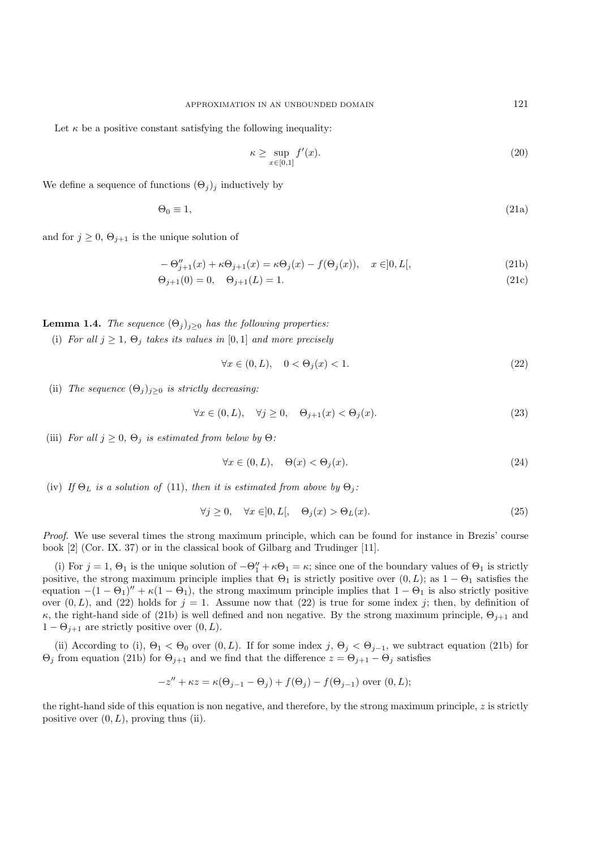Let  $\kappa$  be a positive constant satisfying the following inequality:

$$
\kappa \ge \sup_{x \in [0,1]} f'(x). \tag{20}
$$

We define a sequence of functions  $(\Theta_j)_j$  inductively by

$$
\Theta_0 \equiv 1,\tag{21a}
$$

and for  $j \geq 0$ ,  $\Theta_{j+1}$  is the unique solution of

$$
-\Theta_{j+1}''(x) + \kappa \Theta_{j+1}(x) = \kappa \Theta_j(x) - f(\Theta_j(x)), \quad x \in ]0, L[,
$$
\n(21b)

$$
\Theta_{j+1}(0) = 0, \quad \Theta_{j+1}(L) = 1. \tag{21c}
$$

**Lemma 1.4.** *The sequence*  $(\Theta_j)_{j\geq 0}$  *has the following properties:* 

(i) *For all*  $j \geq 1$ ,  $\Theta_j$  *takes its values in* [0, 1] *and more precisely* 

$$
\forall x \in (0, L), \quad 0 < \Theta_j(x) < 1. \tag{22}
$$

(ii) *The sequence*  $(\Theta_j)_{j\geq 0}$  *is strictly decreasing:* 

$$
\forall x \in (0, L), \quad \forall j \ge 0, \quad \Theta_{j+1}(x) < \Theta_j(x). \tag{23}
$$

(iii) *For all*  $j \geq 0$ ,  $\Theta_j$  *is estimated from below by*  $\Theta$ *:* 

$$
\forall x \in (0, L), \quad \Theta(x) < \Theta_j(x). \tag{24}
$$

(iv) *If*  $\Theta_L$  *is a solution of* (11)*, then it is estimated from above by*  $\Theta_i$ *:* 

$$
\forall j \ge 0, \quad \forall x \in ]0, L[, \quad \Theta_j(x) > \Theta_L(x). \tag{25}
$$

*Proof.* We use several times the strong maximum principle, which can be found for instance in Brezis' course book [2] (Cor. IX. 37) or in the classical book of Gilbarg and Trudinger [11].

(i) For  $j = 1$ ,  $\Theta_1$  is the unique solution of  $-\Theta''_1 + \kappa \Theta_1 = \kappa$ ; since one of the boundary values of  $\Theta_1$  is strictly<br>sitive the strong maximum principle implies that  $\Theta_1$  is strictly positive over  $(0, L)$ ; as  $1$ positive, the strong maximum principle implies that  $\Theta_1$  is strictly positive over  $(0, L)$ ; as  $1 - \Theta_1$  satisfies the equation  $-(1 - \Theta_1)'' + \kappa(1 - \Theta_1)$ , the strong maximum principle implies that  $1 - \Theta_1$  is also strictly positive over  $(0, L)$ , and  $(22)$  holds for  $j = 1$ . Assume now that  $(22)$  is true for some index j; then, by definition of κ, the right-hand side of (21b) is well defined and non negative. By the strong maximum principle,  $\Theta_{j+1}$  and  $1 - \Theta_{j+1}$  are strictly positive over  $(0, L)$ .

(ii) According to (i),  $\Theta_1 < \Theta_0$  over  $(0, L)$ . If for some index  $j, \Theta_j < \Theta_{j-1}$ , we subtract equation (21b) for  $\Theta_i$  from equation (21b) for  $\Theta_{i+1}$  and we find that the difference  $z = \Theta_{i+1} - \Theta_i$  satisfies

$$
-z'' + \kappa z = \kappa(\Theta_{j-1} - \Theta_j) + f(\Theta_j) - f(\Theta_{j-1})
$$
 over  $(0, L);$ 

the right-hand side of this equation is non negative, and therefore, by the strong maximum principle, z is strictly positive over  $(0, L)$ , proving thus (ii).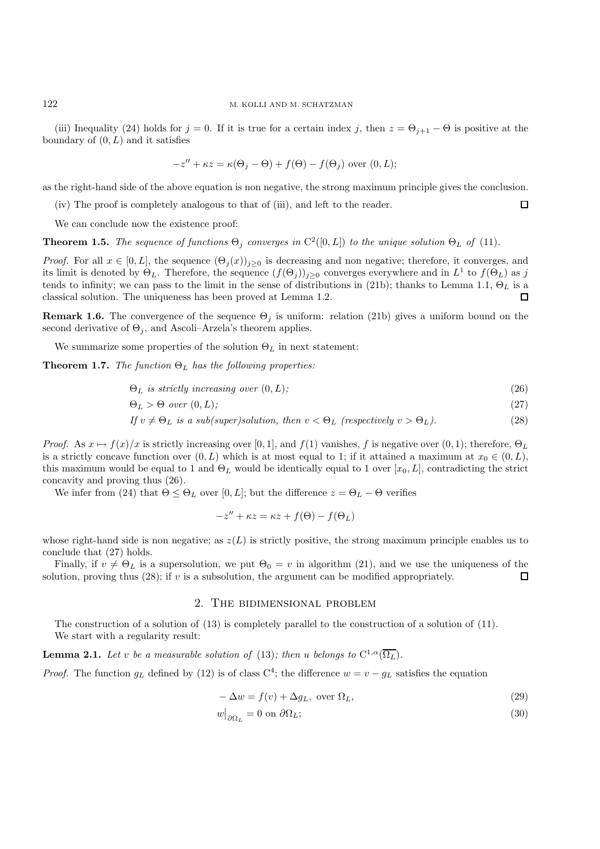(iii) Inequality (24) holds for  $j = 0$ . If it is true for a certain index j, then  $z = \Theta_{j+1} - \Theta$  is positive at the boundary of  $(0, L)$  and it satisfies

$$
-z'' + \kappa z = \kappa(\Theta_j - \Theta) + f(\Theta) - f(\Theta_j)
$$
 over  $(0, L);$ 

as the right-hand side of the above equation is non negative, the strong maximum principle gives the conclusion.

(iv) The proof is completely analogous to that of (iii), and left to the reader.

We can conclude now the existence proof:

**Theorem 1.5.** *The sequence of functions*  $\Theta_i$  *converges in*  $C^2([0,L])$  *to the unique solution*  $\Theta_L$  *of* (11)*.* 

*Proof.* For all  $x \in [0, L]$ , the sequence  $(\Theta_i(x))_{i \geq 0}$  is decreasing and non negative; therefore, it converges, and its limit is denoted by  $\Theta_L$ . Therefore, the sequence  $(f(\Theta_i))_{i>0}$  converges everywhere and in  $L^1$  to  $f(\Theta_L)$  as j tends to infinity; we can pass to the limit in the sense of distributions in (21b); thanks to Lemma 1.1,  $\Theta_L$  is a classical solution. The uniqueness has been proved at Lemma 1.2.  $\Box$ 

**Remark 1.6.** The convergence of the sequence  $\Theta_j$  is uniform: relation (21b) gives a uniform bound on the second derivative of  $\Theta_j$ , and Ascoli–Arzela's theorem applies.

We summarize some properties of the solution  $\Theta_L$  in next statement:

**Theorem 1.7.** *The function*  $\Theta_L$  *has the following properties:* 

$$
\Theta_L \text{ is strictly increasing over } (0, L); \tag{26}
$$

 $\Box$ 

$$
\Theta_L > \Theta \ over \ (0, L); \tag{27}
$$

*If*  $v \neq \Theta_L$  *is a sub(super)solution, then*  $v < \Theta_L$  *(respectively*  $v > \Theta_L$ *).* (28)

*Proof.* As  $x \mapsto f(x)/x$  is strictly increasing over [0, 1], and  $f(1)$  vanishes, f is negative over  $(0, 1)$ ; therefore,  $\Theta_L$ is a strictly concave function over  $(0, L)$  which is at most equal to 1; if it attained a maximum at  $x_0 \in (0, L)$ , this maximum would be equal to 1 and  $\Theta_L$  would be identically equal to 1 over [ $x_0, L$ ], contradicting the strict concavity and proving thus (26).

We infer from (24) that  $\Theta \leq \Theta_L$  over [0, L]; but the difference  $z = \Theta_L - \Theta$  verifies

$$
-z'' + \kappa z = \kappa z + f(\Theta) - f(\Theta_L)
$$

whose right-hand side is non negative; as  $z(L)$  is strictly positive, the strong maximum principle enables us to conclude that (27) holds.

Finally, if  $v \neq \Theta_L$  is a supersolution, we put  $\Theta_0 = v$  in algorithm (21), and we use the uniqueness of the lution, proving thus (28); if v is a subsolution, the argument can be modified appropriately. solution, proving thus  $(28)$ ; if v is a subsolution, the argument can be modified appropriately.

### 2. The bidimensional problem

The construction of a solution of (13) is completely parallel to the construction of a solution of (11). We start with a regularity result:

**Lemma 2.1.** *Let* v *be a measurable solution of* (13)*; then* u *belongs* to  $C^{1,\alpha}(\overline{\Omega_L})$ *.* 

*Proof.* The function  $g_L$  defined by (12) is of class C<sup>4</sup>; the difference  $w = v - g_L$  satisfies the equation

$$
-\Delta w = f(v) + \Delta g_L, \text{ over } \Omega_L,
$$
\n(29)

$$
w|_{\partial \Omega_L} = 0 \text{ on } \partial \Omega_L; \tag{30}
$$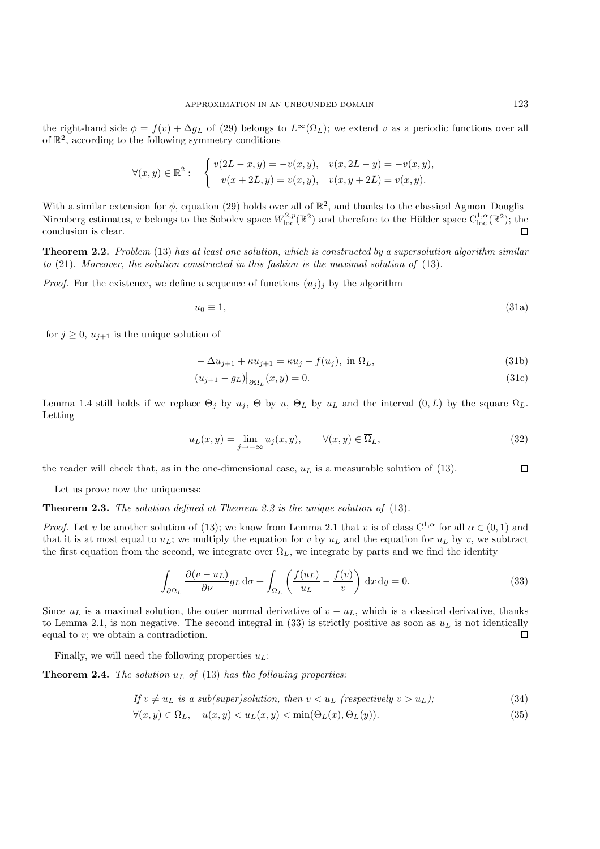the right-hand side  $\phi = f(v) + \Delta g_L$  of (29) belongs to  $L^{\infty}(\Omega_L)$ ; we extend v as a periodic functions over all of  $\mathbb{R}^2$ , according to the following symmetry conditions

$$
\forall (x, y) \in \mathbb{R}^2 : \quad \begin{cases} v(2L - x, y) = -v(x, y), & v(x, 2L - y) = -v(x, y), \\ v(x + 2L, y) = v(x, y), & v(x, y + 2L) = v(x, y). \end{cases}
$$

With a similar extension for  $\phi$ , equation (29) holds over all of  $\mathbb{R}^2$ , and thanks to the classical Agmon–Douglis– Nirenberg estimates, v belongs to the Sobolev space  $W^{2,p}_{loc}(\mathbb{R}^2)$  and therefore to the Hölder space  $C^{1,\alpha}_{loc}(\mathbb{R}^2)$ ; the conclusion is clear. conclusion is clear.

**Theorem 2.2.** *Problem* (13) *has at least one solution, which is constructed by a supersolution algorithm similar to* (21)*. Moreover, the solution constructed in this fashion is the maximal solution of* (13)*.*

*Proof.* For the existence, we define a sequence of functions  $(u_j)_i$  by the algorithm

$$
u_0 \equiv 1,\tag{31a}
$$

for  $j \geq 0$ ,  $u_{j+1}$  is the unique solution of

$$
-\Delta u_{j+1} + \kappa u_{j+1} = \kappa u_j - f(u_j), \text{ in } \Omega_L,
$$
\n(31b)

$$
(u_{j+1} - g_L)|_{\partial \Omega_L}(x, y) = 0. \tag{31c}
$$

Lemma 1.4 still holds if we replace  $\Theta_j$  by  $u_j$ ,  $\Theta$  by  $u_j$ ,  $\Theta_L$  by  $u_L$  and the interval  $(0, L)$  by the square  $\Omega_L$ . Letting

$$
u_L(x,y) = \lim_{j \to +\infty} u_j(x,y), \qquad \forall (x,y) \in \overline{\Omega}_L,
$$
\n(32)

 $\Box$ the reader will check that, as in the one-dimensional case,  $u<sub>L</sub>$  is a measurable solution of (13).

Let us prove now the uniqueness:

**Theorem 2.3.** *The solution defined at Theorem 2.2 is the unique solution of* (13)*.*

*Proof.* Let v be another solution of (13); we know from Lemma 2.1 that v is of class  $C^{1,\alpha}$  for all  $\alpha \in (0,1)$  and that it is at most equal to  $u_L$ ; we multiply the equation for v by  $u_L$  and the equation for  $u_L$  by v, we subtract the first equation from the second, we integrate over  $\Omega_L$ , we integrate by parts and we find the identity

$$
\int_{\partial \Omega_L} \frac{\partial (v - u_L)}{\partial \nu} g_L \, \mathrm{d}\sigma + \int_{\Omega_L} \left( \frac{f(u_L)}{u_L} - \frac{f(v)}{v} \right) \, \mathrm{d}x \, \mathrm{d}y = 0. \tag{33}
$$

Since  $u<sub>L</sub>$  is a maximal solution, the outer normal derivative of  $v - u<sub>L</sub>$ , which is a classical derivative, thanks to Lemma 2.1, is non negative. The second integral in (33) is strictly positive as soon as  $u<sub>L</sub>$  is not identically equal to *v*: we obtain a contradiction. equal to  $v$ ; we obtain a contradiction.

Finally, we will need the following properties  $u_L$ :

**Theorem 2.4.** *The solution*  $u_L$  *of* (13) *has the following properties:* 

If 
$$
v \neq u_L
$$
 is a sub(super)solution, then  $v < u_L$  (respectively  $v > u_L$ ); (34)

$$
\forall (x, y) \in \Omega_L, \quad u(x, y) < u_L(x, y) < \min(\Theta_L(x), \Theta_L(y)).\tag{35}
$$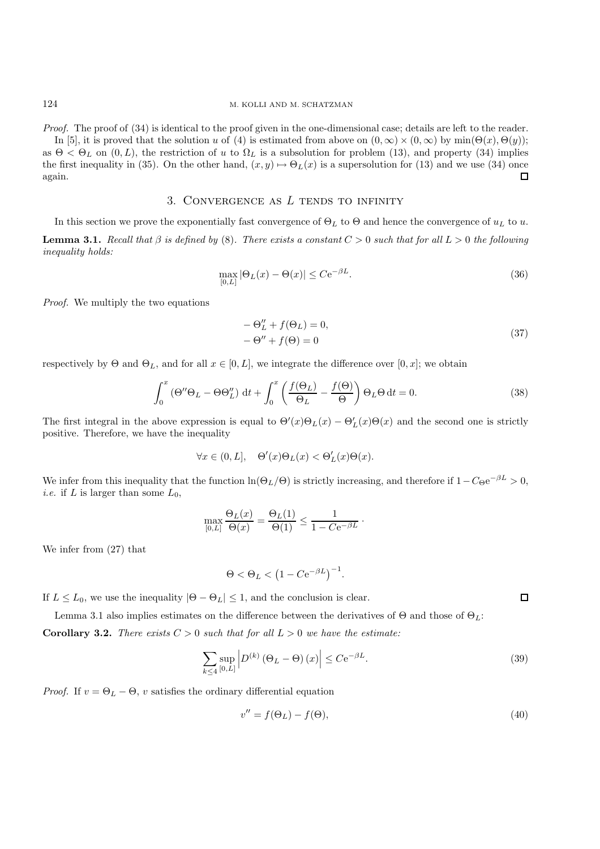*Proof.* The proof of (34) is identical to the proof given in the one-dimensional case; details are left to the reader. In [5], it is proved that the solution u of (4) is estimated from above on  $(0, \infty) \times (0, \infty)$  by  $\min(\Theta(x), \Theta(y))$ ; as  $\Theta < \Theta_L$  on  $(0, L)$ , the restriction of u to  $\Omega_L$  is a subsolution for problem (13), and property (34) implies the first inequality in (35). On the other hand,  $(x, y) \mapsto \Theta_L(x)$  is a supersolution for (13) and we use (34) once again. again.

## 3. Convergence as *L* tends to infinity

In this section we prove the exponentially fast convergence of  $\Theta_L$  to  $\Theta$  and hence the convergence of  $u_L$  to  $u$ . **Lemma 3.1.** *Recall that*  $\beta$  *is defined by* (8). *There exists a constant*  $C > 0$  *such that* for all  $L > 0$  *the following inequality holds:*

$$
\max_{[0,L]} |\Theta_L(x) - \Theta(x)| \le C e^{-\beta L}.
$$
\n(36)

*Proof.* We multiply the two equations

$$
-\Theta_L'' + f(\Theta_L) = 0,
$$
  

$$
-\Theta'' + f(\Theta) = 0
$$
 (37)

respectively by  $\Theta$  and  $\Theta_L$ , and for all  $x \in [0, L]$ , we integrate the difference over  $[0, x]$ ; we obtain

$$
\int_0^x \left(\Theta''\Theta_L - \Theta\Theta''_L\right) \, \mathrm{d}t + \int_0^x \left(\frac{f(\Theta_L)}{\Theta_L} - \frac{f(\Theta)}{\Theta}\right) \Theta_L \Theta \, \mathrm{d}t = 0. \tag{38}
$$

The first integral in the above expression is equal to  $\Theta'(x)\Theta_L(x) - \Theta'_L(x)\Theta(x)$  and the second one is strictly positive. Therefore, we have the inequality positive. Therefore, we have the inequality

$$
\forall x \in (0, L], \quad \Theta'(x)\Theta_L(x) < \Theta'_L(x)\Theta(x).
$$

We infer from this inequality that the function  $\ln(\Theta_L/\Theta)$  is strictly increasing, and therefore if  $1-C_\Theta e^{-\beta L} > 0$ , *i.e.* if L is larger than some  $L_0$ ,

$$
\max_{[0,L]} \frac{\Theta_L(x)}{\Theta(x)} = \frac{\Theta_L(1)}{\Theta(1)} \le \frac{1}{1 - C e^{-\beta L}}.
$$

We infer from (27) that

$$
\Theta < \Theta_L < \left(1 - C \mathrm{e}^{-\beta L}\right)^{-1}.
$$

If  $L \le L_0$ , we use the inequality  $|\Theta - \Theta_L| \le 1$ , and the conclusion is clear.

Lemma 3.1 also implies estimates on the difference between the derivatives of  $\Theta$  and those of  $\Theta_L$ :

**Corollary 3.2.** *There exists*  $C > 0$  *such that for all*  $L > 0$  *we have the estimate:* 

$$
\sum_{k \le 4} \sup_{[0,L]} \left| D^{(k)} \left( \Theta_L - \Theta \right) (x) \right| \le C e^{-\beta L}.
$$
\n(39)

*Proof.* If  $v = \Theta_L - \Theta$ , v satisfies the ordinary differential equation

$$
v'' = f(\Theta_L) - f(\Theta),\tag{40}
$$

 $\Box$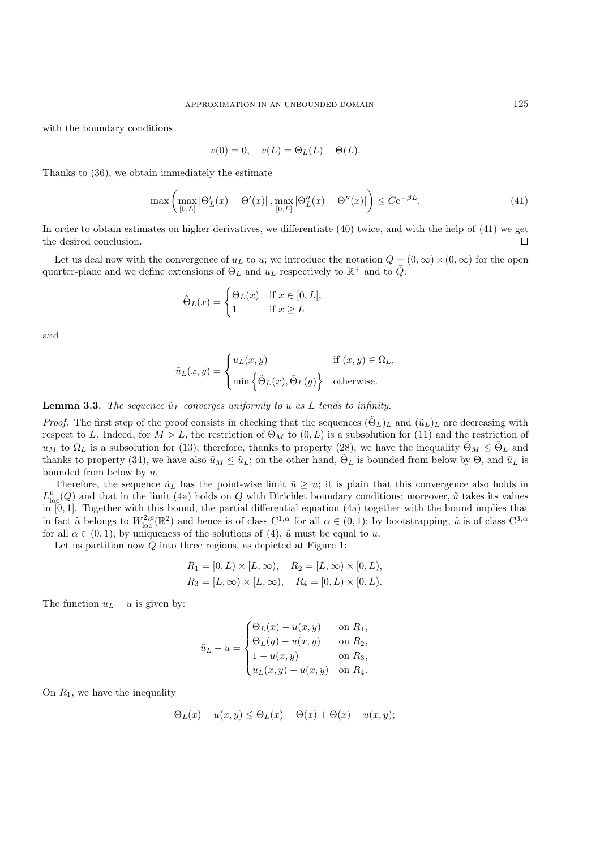with the boundary conditions

$$
v(0) = 0
$$
,  $v(L) = \Theta_L(L) - \Theta(L)$ .

Thanks to (36), we obtain immediately the estimate

$$
\max\left(\max_{[0,L]}|\Theta'_L(x) - \Theta'(x)|\right),\max_{[0,L]}|\Theta''_L(x) - \Theta''(x)|\right) \le C e^{-\beta L}.\tag{41}
$$

In order to obtain estimates on higher derivatives, we differentiate (40) twice, and with the help of (41) we get the desired conclusion. П

Let us deal now with the convergence of  $u<sub>L</sub>$  to u; we introduce the notation  $Q = (0, \infty) \times (0, \infty)$  for the open quarter-plane and we define extensions of  $\Theta_L$  and  $u_L$  respectively to  $\mathbb{R}^+$  and to  $\overline{Q}$ :

$$
\tilde{\Theta}_L(x) = \begin{cases} \Theta_L(x) & \text{if } x \in [0, L], \\ 1 & \text{if } x \ge L \end{cases}
$$

and

$$
\tilde{u}_L(x,y) = \begin{cases} u_L(x,y) & \text{if } (x,y) \in \Omega_L, \\ \min \left\{ \tilde{\Theta}_L(x), \tilde{\Theta}_L(y) \right\} & \text{otherwise.} \end{cases}
$$

**Lemma 3.3.** *The sequence*  $\tilde{u}_L$  *converges uniformly to u as L tends to infinity.* 

*Proof.* The first step of the proof consists in checking that the sequences  $(\tilde{\Theta}_L)_L$  and  $(\tilde{u}_L)_L$  are decreasing with respect to L. Indeed, for  $M > L$ , the restriction of  $\Theta_M$  to  $(0, L)$  is a subsolution for (11) and the restriction of  $u_M$  to  $\Omega_L$  is a subsolution for (13); therefore, thanks to property (28), we have the inequality  $\tilde{\Theta}_M \leq \tilde{\Theta}_L$  and thanks to property (34), we have also  $\tilde{u}_M \leq \tilde{u}_L$ ; on the other hand,  $\tilde{\Theta}_L$  is bounded from below by  $\Theta$ , and  $\tilde{u}_L$  is bounded from below by u.

Therefore, the sequence  $\tilde{u}_L$  has the point-wise limit  $\tilde{u} \geq u$ ; it is plain that this convergence also holds in  $L_{\rm lc}^p$  $\Omega_{\rm sc}(Q)$  and that in the limit (4a) holds on Q with Dirichlet boundary conditions; moreover,  $\tilde{u}$  takes its values in [0, 1]. Together with this bound, the partial differential equation (4a) together with the bound implies that in fact  $\tilde{u}$  belongs to  $W_{loc}^{2,p}(\mathbb{R}^2)$  and hence is of class  $C^{1,\alpha}$  for all  $\alpha \in (0,1)$ ; by bootstrapping,  $\tilde{u}$  is of class  $C^{3,\alpha}$ <br>for all  $\alpha \in (0,1)$ ; by uniqueness of the solutions of  $(1, \tilde{u})$  must b for all  $\alpha \in (0,1)$ ; by uniqueness of the solutions of  $(4)$ ,  $\tilde{u}$  must be equal to  $u$ .

Let us partition now Q into three regions, as depicted at Figure 1:

$$
R_1 = [0, L) \times [L, \infty), \quad R_2 = [L, \infty) \times [0, L), R_3 = [L, \infty) \times [L, \infty), \quad R_4 = [0, L) \times [0, L).
$$

The function  $u<sub>L</sub> - u$  is given by:

$$
\tilde{u}_L - u = \begin{cases}\n\Theta_L(x) - u(x, y) & \text{on } R_1, \\
\Theta_L(y) - u(x, y) & \text{on } R_2, \\
1 - u(x, y) & \text{on } R_3, \\
u_L(x, y) - u(x, y) & \text{on } R_4.\n\end{cases}
$$

On  $R_1$ , we have the inequality

$$
\Theta_L(x) - u(x, y) \le \Theta_L(x) - \Theta(x) + \Theta(x) - u(x, y);
$$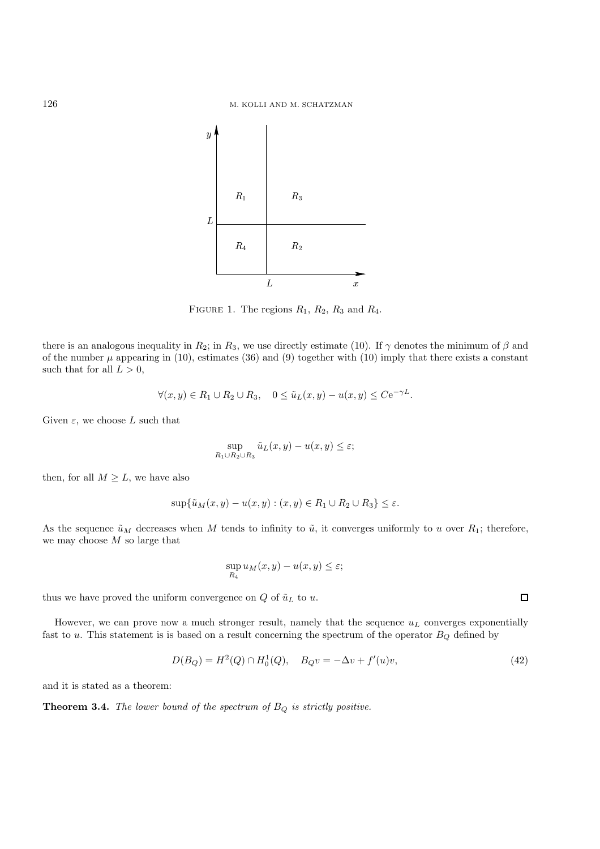

FIGURE 1. The regions  $R_1$ ,  $R_2$ ,  $R_3$  and  $R_4$ .

there is an analogous inequality in  $R_2$ ; in  $R_3$ , we use directly estimate (10). If  $\gamma$  denotes the minimum of  $\beta$  and of the number  $\mu$  appearing in (10), estimates (36) and (9) together with (10) imply that there exists a constant such that for all  $L > 0$ ,

$$
\forall (x, y) \in R_1 \cup R_2 \cup R_3, \quad 0 \le \tilde{u}_L(x, y) - u(x, y) \le C e^{-\gamma L}.
$$

Given  $\varepsilon$ , we choose L such that

$$
\sup_{R_1\cup R_2\cup R_3} \tilde{u}_L(x,y) - u(x,y) \le \varepsilon;
$$

then, for all  $M \geq L$ , we have also

$$
\sup\{\tilde{u}_M(x,y)-u(x,y):(x,y)\in R_1\cup R_2\cup R_3\}\leq\varepsilon.
$$

As the sequence  $\tilde{u}_M$  decreases when M tends to infinity to  $\tilde{u}$ , it converges uniformly to u over  $R_1$ ; therefore, we may choose  $M$  so large that

$$
\sup_{R_4} u_M(x,y) - u(x,y) \le \varepsilon;
$$

thus we have proved the uniform convergence on  $Q$  of  $\tilde{u}_L$  to  $u$ .

However, we can prove now a much stronger result, namely that the sequence  $u<sub>L</sub>$  converges exponentially fast to  $u$ . This statement is is based on a result concerning the spectrum of the operator  $B_Q$  defined by

$$
D(B_Q) = H^2(Q) \cap H_0^1(Q), \quad B_Q v = -\Delta v + f'(u)v,
$$
\n(42)

and it is stated as a theorem:

**Theorem 3.4.** *The lower bound of the spectrum of* <sup>B</sup><sup>Q</sup> *is strictly positive.*

 $\Box$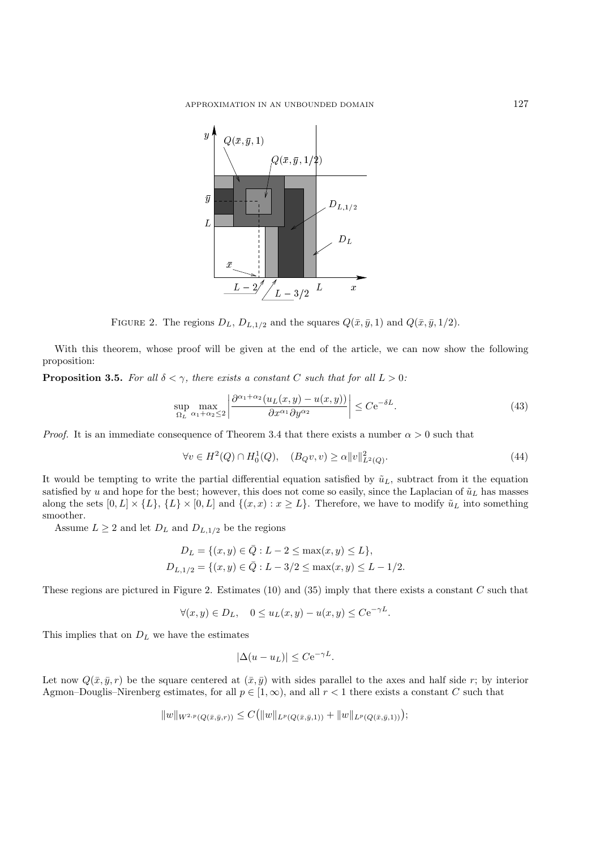

FIGURE 2. The regions  $D_L$ ,  $D_{L,1/2}$  and the squares  $Q(\bar{x}, \bar{y}, 1)$  and  $Q(\bar{x}, \bar{y}, 1/2)$ .

With this theorem, whose proof will be given at the end of the article, we can now show the following proposition:

**Proposition 3.5.** *For all*  $\delta < \gamma$ *, there exists a constant* C *such that for all*  $L > 0$ *:* 

$$
\sup_{\Omega_L} \max_{\alpha_1 + \alpha_2 \le 2} \left| \frac{\partial^{\alpha_1 + \alpha_2} (u_L(x, y) - u(x, y))}{\partial x^{\alpha_1} \partial y^{\alpha_2}} \right| \le C e^{-\delta L}.
$$
\n(43)

*Proof.* It is an immediate consequence of Theorem 3.4 that there exists a number  $\alpha > 0$  such that

$$
\forall v \in H^2(Q) \cap H_0^1(Q), \quad (B_Q v, v) \ge \alpha ||v||_{L^2(Q)}^2.
$$
\n(44)

It would be tempting to write the partial differential equation satisfied by  $\tilde{u}_L$ , subtract from it the equation satisfied by u and hope for the best; however, this does not come so easily, since the Laplacian of  $\tilde{u}_L$  has masses along the sets  $[0, L] \times \{L\} \times [0, L]$  and  $\{(x, x) : x \ge L\}$ . Therefore, we have to modify  $\tilde{u}_L$  into something smoother.

Assume  $L \geq 2$  and let  $D_L$  and  $D_{L,1/2}$  be the regions

$$
D_L = \{(x, y) \in \overline{Q} : L - 2 \le \max(x, y) \le L\},\
$$
  

$$
D_{L,1/2} = \{(x, y) \in \overline{Q} : L - 3/2 \le \max(x, y) \le L - 1/2.
$$

These regions are pictured in Figure 2. Estimates  $(10)$  and  $(35)$  imply that there exists a constant C such that

$$
\forall (x, y) \in D_L, \quad 0 \le u_L(x, y) - u(x, y) \le C e^{-\gamma L}.
$$

This implies that on  $D<sub>L</sub>$  we have the estimates

$$
|\Delta(u - u_L)| \leq C \mathrm{e}^{-\gamma L}.
$$

Let now  $Q(\bar{x}, \bar{y}, r)$  be the square centered at  $(\bar{x}, \bar{y})$  with sides parallel to the axes and half side r; by interior Agmon–Douglis–Nirenberg estimates, for all  $p \in [1,\infty)$ , and all  $r < 1$  there exists a constant C such that

$$
||w||_{W^{2,p}(Q(\bar{x},\bar{y},r))} \leq C(||w||_{L^p(Q(\bar{x},\bar{y},1))} + ||w||_{L^p(Q(\bar{x},\bar{y},1))});
$$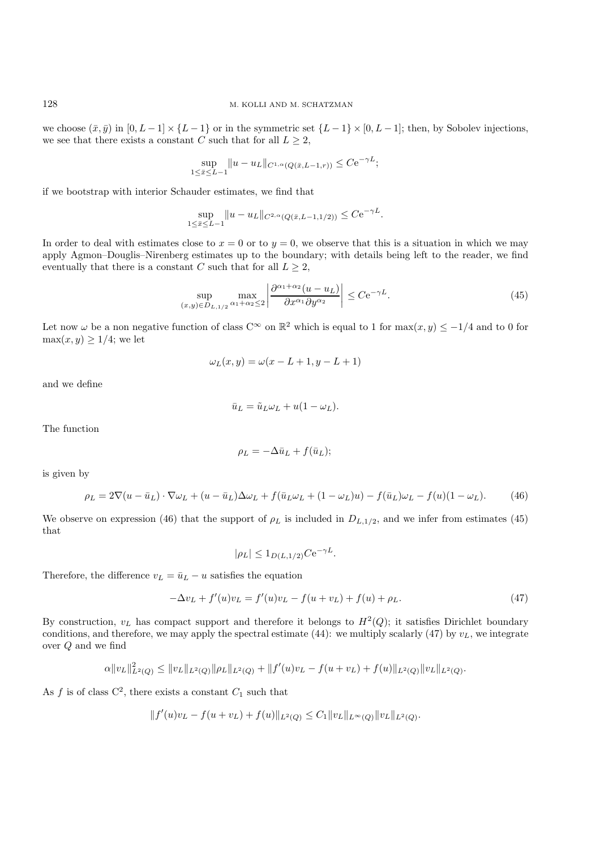we choose  $(\bar{x}, \bar{y})$  in  $[0, L-1] \times \{L-1\}$  or in the symmetric set  $\{L-1\} \times [0, L-1]$ ; then, by Sobolev injections, we see that there exists a constant  $C$  such that for all  $L\geq 2,$ 

$$
\sup_{1 \le \bar{x} \le L-1} ||u - u_L||_{C^{1,\alpha}(Q(\bar{x}, L-1, r))} \le C e^{-\gamma L};
$$

if we bootstrap with interior Schauder estimates, we find that

$$
\sup_{1 \le \bar{x} \le L-1} ||u - u_L||_{C^{2,\alpha}(Q(\bar{x}, L-1, 1/2))} \le C e^{-\gamma L}.
$$

In order to deal with estimates close to  $x = 0$  or to  $y = 0$ , we observe that this is a situation in which we may apply Agmon–Douglis–Nirenberg estimates up to the boundary; with details being left to the reader, we find eventually that there is a constant C such that for all  $L \geq 2$ ,

$$
\sup_{(x,y)\in D_{L,1/2}} \max_{\alpha_1+\alpha_2\le 2} \left| \frac{\partial^{\alpha_1+\alpha_2}(u-u_L)}{\partial x^{\alpha_1} \partial y^{\alpha_2}} \right| \le C e^{-\gamma L}.\tag{45}
$$

Let now  $\omega$  be a non negative function of class C∞ on  $\mathbb{R}^2$  which is equal to 1 for max $(x, y) \le -1/4$  and to 0 for  $\max(x, y) \geq 1/4$ ; we let

$$
\omega_L(x, y) = \omega(x - L + 1, y - L + 1)
$$

and we define

$$
\bar{u}_L = \tilde{u}_L \omega_L + u(1 - \omega_L).
$$

The function

$$
\rho_L = -\Delta \bar{u}_L + f(\bar{u}_L);
$$

is given by

$$
\rho_L = 2\nabla(u - \bar{u}_L) \cdot \nabla \omega_L + (u - \bar{u}_L) \Delta \omega_L + f(\bar{u}_L \omega_L + (1 - \omega_L)u) - f(\bar{u}_L) \omega_L - f(u)(1 - \omega_L). \tag{46}
$$

We observe on expression (46) that the support of  $\rho_L$  is included in  $D_{L,1/2}$ , and we infer from estimates (45) that

$$
|\rho_L| \leq 1_{D(L,1/2)} C e^{-\gamma L}.
$$

Therefore, the difference  $v_L = \bar{u}_L - u$  satisfies the equation

$$
-\Delta v_L + f'(u)v_L = f'(u)v_L - f(u + v_L) + f(u) + \rho_L.
$$
\n(47)

By construction,  $v_L$  has compact support and therefore it belongs to  $H^2(Q)$ ; it satisfies Dirichlet boundary conditions, and therefore, we may apply the spectral estimate (44): we multiply scalarly (47) by  $v<sub>L</sub>$ , we integrate over Q and we find

$$
\alpha \|v_L\|_{L^2(Q)}^2 \le \|v_L\|_{L^2(Q)} \|\rho_L\|_{L^2(Q)} + \|f'(u)v_L - f(u+v_L) + f(u)\|_{L^2(Q)} \|v_L\|_{L^2(Q)}.
$$

As f is of class  $C^2$ , there exists a constant  $C_1$  such that

$$
||f'(u)v_L - f(u + v_L) + f(u)||_{L^2(Q)} \leq C_1 ||v_L||_{L^{\infty}(Q)} ||v_L||_{L^2(Q)}.
$$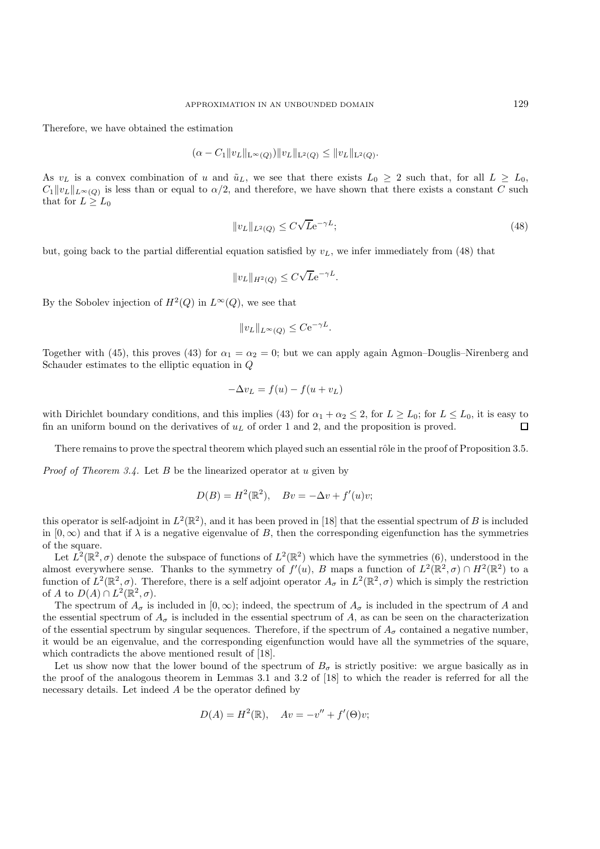Therefore, we have obtained the estimation

$$
(\alpha - C_1 \|v_L\|_{\mathcal{L}^\infty(Q)}) \|v_L\|_{\mathcal{L}^2(Q)} \le \|v_L\|_{\mathcal{L}^2(Q)}.
$$

As  $v_L$  is a convex combination of u and  $\tilde{u}_L$ , we see that there exists  $L_0 \geq 2$  such that, for all  $L \geq L_0$ ,  $C_1 \|v_L\|_{L^\infty(O)}$  is less than or equal to  $\alpha/2$ , and therefore, we have shown that there exists a constant C such that for  $L \geq L_0$ 

$$
||v_L||_{L^2(Q)} \le C\sqrt{L}e^{-\gamma L};\tag{48}
$$

but, going back to the partial differential equation satisfied by  $v<sub>L</sub>$ , we infer immediately from (48) that

$$
||v_L||_{H^2(Q)} \leq C\sqrt{L}e^{-\gamma L}.
$$

By the Sobolev injection of  $H^2(Q)$  in  $L^{\infty}(Q)$ , we see that

$$
||v_L||_{L^{\infty}(Q)} \leq C e^{-\gamma L}.
$$

Together with (45), this proves (43) for  $\alpha_1 = \alpha_2 = 0$ ; but we can apply again Agmon–Douglis–Nirenberg and Schauder estimates to the elliptic equation in Q

$$
-\Delta v_L = f(u) - f(u + v_L)
$$

with Dirichlet boundary conditions, and this implies (43) for  $\alpha_1 + \alpha_2 \le 2$ , for  $L \ge L_0$ ; for  $L \le L_0$ , it is easy to fin an uniform bound on the derivatives of  $u_L$  of order 1 and 2, and the proposition is proved. fin an uniform bound on the derivatives of  $u<sub>L</sub>$  of order 1 and 2, and the proposition is proved.

There remains to prove the spectral theorem which played such an essential rôle in the proof of Proposition 3.5.

*Proof of Theorem 3.4.* Let B be the linearized operator at u given by

$$
D(B) = H2(\mathbb{R}2), \quad Bv = -\Delta v + f'(u)v;
$$

this operator is self-adjoint in  $L^2(\mathbb{R}^2)$ , and it has been proved in [18] that the essential spectrum of B is included in  $[0, \infty)$  and that if  $\lambda$  is a negative eigenvalue of B, then the corresponding eigenfunction has the symmetries of the square.

Let  $L^2(\mathbb{R}^2,\sigma)$  denote the subspace of functions of  $L^2(\mathbb{R}^2)$  which have the symmetries (6), understood in the almost everywhere sense. Thanks to the symmetry of  $f'(u)$ , B maps a function of  $L^2(\mathbb{R}^2, \sigma) \cap H^2(\mathbb{R}^2)$  to a function of  $L^2(\mathbb{R}^2, \sigma)$ . Therefore, there is a self-adjoint operator  $A$ , in  $L^2(\mathbb{R}^2, \sigma)$  whi function of  $L^2(\mathbb{R}^2,\sigma)$ . Therefore, there is a self adjoint operator  $A_\sigma$  in  $L^2(\mathbb{R}^2,\sigma)$  which is simply the restriction of A to  $D(A) \cap L^2(\mathbb{R}^2, \sigma)$ .

The spectrum of  $A_{\sigma}$  is included in  $[0, \infty)$ ; indeed, the spectrum of  $A_{\sigma}$  is included in the spectrum of A and the essential spectrum of  $A_{\sigma}$  is included in the essential spectrum of A, as can be seen on the characterization of the essential spectrum by singular sequences. Therefore, if the spectrum of  $A_{\sigma}$  contained a negative number, it would be an eigenvalue, and the corresponding eigenfunction would have all the symmetries of the square, which contradicts the above mentioned result of [18].

Let us show now that the lower bound of the spectrum of  $B_{\sigma}$  is strictly positive: we argue basically as in the proof of the analogous theorem in Lemmas 3.1 and 3.2 of [18] to which the reader is referred for all the necessary details. Let indeed A be the operator defined by

$$
D(A) = H2(\mathbb{R}), \quad Av = -v'' + f'(\Theta)v;
$$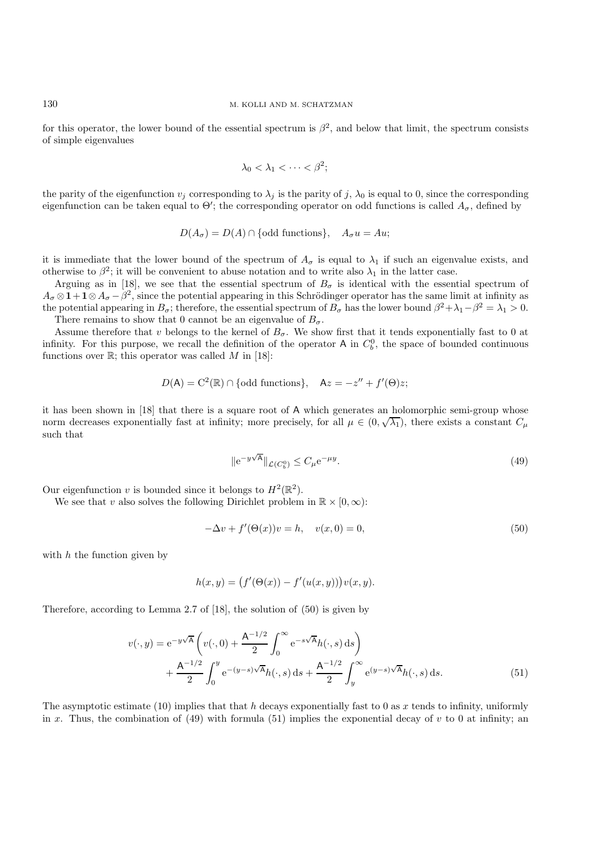for this operator, the lower bound of the essential spectrum is  $\beta^2$ , and below that limit, the spectrum consists of simple eigenvalues

$$
\lambda_0 < \lambda_1 < \cdots < \beta^2;
$$

the parity of the eigenfunction  $v_j$  corresponding to  $\lambda_j$  is the parity of j,  $\lambda_0$  is equal to 0, since the corresponding eigenfunction can be taken equal to  $\Theta'$ ; the corresponding operator on odd functions is called  $A_{\sigma}$ , defined by

$$
D(A_{\sigma}) = D(A) \cap \{\text{odd functions}\}, \quad A_{\sigma}u = Au;
$$

it is immediate that the lower bound of the spectrum of  $A_{\sigma}$  is equal to  $\lambda_1$  if such an eigenvalue exists, and otherwise to  $\beta^2$ ; it will be convenient to abuse notation and to write also  $\lambda_1$  in the latter case.

Arguing as in [18], we see that the essential spectrum of  $B_{\sigma}$  is identical with the essential spectrum of  $A_{\sigma} \otimes 1 + 1 \otimes A_{\sigma} - \beta^2$ , since the potential appearing in this Schrödinger operator has the same limit at infinity as the potential appearing in  $B_{\sigma}$ ; therefore, the essential spectrum of  $B_{\sigma}$  has the lower bound  $\beta^2 + \lambda_1 - \beta^2 = \lambda_1 > 0$ . There remains to show that 0 cannot be an eigenvalue of  $B_{\sigma}$ .

Assume therefore that v belongs to the kernel of  $B_{\sigma}$ . We show first that it tends exponentially fast to 0 at infinity. For this purpose, we recall the definition of the operator A in  $C_b^0$ , the space of bounded continuous functions over  $\mathbb{R}^+$  this operator was called M in [18]. functions over  $\mathbb{R}$ ; this operator was called M in [18]:

$$
D(A) = C2(\mathbb{R}) \cap \{odd\ functions\}, \quad Az = -z'' + f'(\Theta)z;
$$

it has been shown in [18] that there is a square root of A which generates an holomorphic semi-group whose norm decreases exponentially fast at infinity; more precisely, for all  $\mu \in (0, \sqrt{\lambda_1})$ , there exists a constant  $C_{\mu}$ <br>such that such that

$$
\|e^{-y\sqrt{A}}\|_{\mathcal{L}(C_b^0)} \le C_\mu e^{-\mu y}.\tag{49}
$$

Our eigenfunction v is bounded since it belongs to  $H^2(\mathbb{R}^2)$ .

We see that v also solves the following Dirichlet problem in  $\mathbb{R} \times [0, \infty)$ :

$$
-\Delta v + f'(\Theta(x))v = h, \quad v(x,0) = 0,
$$
\n(50)

with  $h$  the function given by

$$
h(x, y) = (f'(\Theta(x)) - f'(u(x, y)))v(x, y).
$$

Therefore, according to Lemma 2.7 of  $|18|$ , the solution of  $(50)$  is given by

$$
v(\cdot, y) = e^{-y\sqrt{A}} \left( v(\cdot, 0) + \frac{A^{-1/2}}{2} \int_0^\infty e^{-s\sqrt{A}} h(\cdot, s) ds \right) + \frac{A^{-1/2}}{2} \int_0^y e^{-(y-s)\sqrt{A}} h(\cdot, s) ds + \frac{A^{-1/2}}{2} \int_y^\infty e^{(y-s)\sqrt{A}} h(\cdot, s) ds.
$$
 (51)

The asymptotic estimate (10) implies that that h decays exponentially fast to 0 as x tends to infinity, uniformly in x. Thus, the combination of (49) with formula (51) implies the exponential decay of v to 0 at infinity; an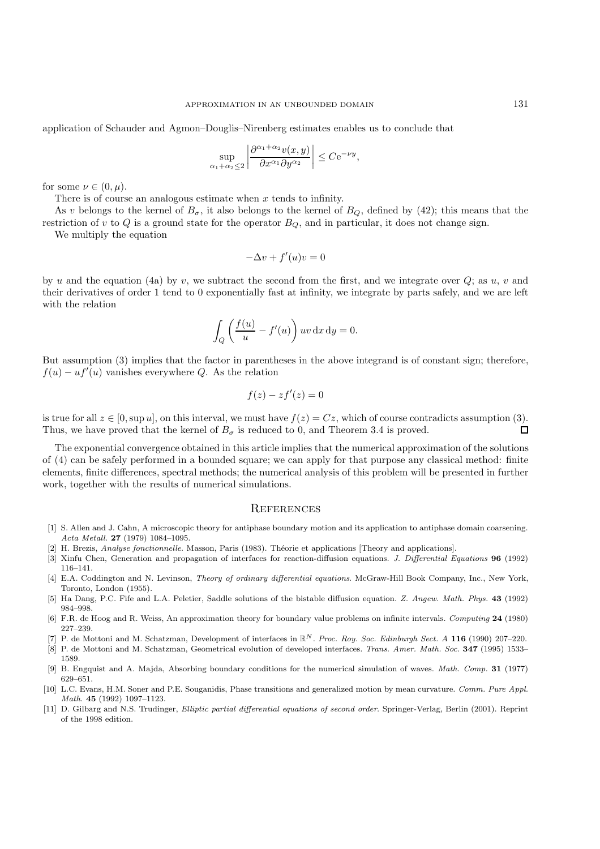application of Schauder and Agmon–Douglis–Nirenberg estimates enables us to conclude that

$$
\sup_{\alpha_1+\alpha_2\leq 2}\left|\frac{\partial^{\alpha_1+\alpha_2}v(x,y)}{\partial x^{\alpha_1}\partial y^{\alpha_2}}\right|\leq C\mathrm{e}^{-\nu y},
$$

for some  $\nu \in (0, \mu)$ .

There is of course an analogous estimate when  $x$  tends to infinity.

As v belongs to the kernel of  $B_{\sigma}$ , it also belongs to the kernel of  $B_Q$ , defined by (42); this means that the restriction of v to Q is a ground state for the operator  $B_Q$ , and in particular, it does not change sign.

We multiply the equation

$$
-\Delta v + f'(u)v = 0
$$

by u and the equation (4a) by v, we subtract the second from the first, and we integrate over  $Q$ ; as u, v and their derivatives of order 1 tend to 0 exponentially fast at infinity, we integrate by parts safely, and we are left with the relation

$$
\int_{Q} \left( \frac{f(u)}{u} - f'(u) \right) uv \, dx \, dy = 0.
$$

But assumption (3) implies that the factor in parentheses in the above integrand is of constant sign; therefore,  $f(u) - uf'(u)$  vanishes everywhere Q. As the relation

$$
f(z) - z f'(z) = 0
$$

is true for all  $z \in [0, \sup u]$ , on this interval, we must have  $f(z) = Cz$ , which of course contradicts assumption (3).<br>Thus, we have proved that the kernel of  $B<sub>z</sub>$  is reduced to 0, and Theorem 3.4 is proved. Thus, we have proved that the kernel of  $B_{\sigma}$  is reduced to 0, and Theorem 3.4 is proved.

The exponential convergence obtained in this article implies that the numerical approximation of the solutions of (4) can be safely performed in a bounded square; we can apply for that purpose any classical method: finite elements, finite differences, spectral methods; the numerical analysis of this problem will be presented in further work, together with the results of numerical simulations.

#### **REFERENCES**

- [1] S. Allen and J. Cahn, A microscopic theory for antiphase boundary motion and its application to antiphase domain coarsening. Acta Metall. **27** (1979) 1084–1095.
- H. Brezis, Analyse fonctionnelle. Masson, Paris (1983). Théorie et applications [Theory and applications].
- [3] Xinfu Chen, Generation and propagation of interfaces for reaction-diffusion equations. J. Differential Equations **96** (1992) 116–141.
- [4] E.A. Coddington and N. Levinson, Theory of ordinary differential equations. McGraw-Hill Book Company, Inc., New York, Toronto, London (1955).
- [5] Ha Dang, P.C. Fife and L.A. Peletier, Saddle solutions of the bistable diffusion equation. Z. Angew. Math. Phys. **43** (1992) 984–998.
- [6] F.R. de Hoog and R. Weiss, An approximation theory for boundary value problems on infinite intervals. Computing **24** (1980) 227–239.
- [7] P. de Mottoni and M. Schatzman, Development of interfaces in *<sup>N</sup>* . Proc. Roy. Soc. Edinburgh Sect. A **116** (1990) 207–220.
- [8] P. de Mottoni and M. Schatzman, Geometrical evolution of developed interfaces. Trans. Amer. Math. Soc. **347** (1995) 1533– 1589.
- [9] B. Engquist and A. Majda, Absorbing boundary conditions for the numerical simulation of waves. Math. Comp. **31** (1977) 629–651.
- [10] L.C. Evans, H.M. Soner and P.E. Souganidis, Phase transitions and generalized motion by mean curvature. Comm. Pure Appl. Math. **45** (1992) 1097–1123.
- [11] D. Gilbarg and N.S. Trudinger, Elliptic partial differential equations of second order. Springer-Verlag, Berlin (2001). Reprint of the 1998 edition.